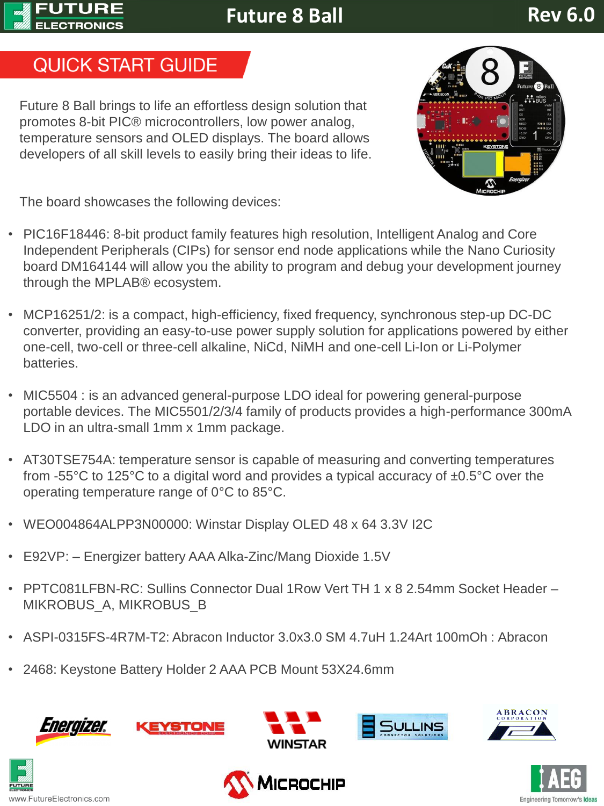#### **FUTURE ELECTRONICS**

**Future 8 Ball** 

# **Rev 6.0**

# **QUICK START GUIDE**

Future 8 Ball brings to life an effortless design solution that promotes 8-bit PIC® microcontrollers, low power analog, temperature sensors and OLED displays. The board allows developers of all skill levels to easily bring their ideas to life.



The board showcases the following devices:

- PIC16F18446: 8-bit product family features high resolution, Intelligent Analog and Core Independent Peripherals (CIPs) for sensor end node applications while the Nano Curiosity board DM164144 will allow you the ability to program and debug your development journey through the MPLAB® ecosystem.
- MCP16251/2: is a compact, high-efficiency, fixed frequency, synchronous step-up DC-DC converter, providing an easy-to-use power supply solution for applications powered by either one-cell, two-cell or three-cell alkaline, NiCd, NiMH and one-cell Li-Ion or Li-Polymer batteries.
- MIC5504 : is an advanced general-purpose LDO ideal for powering general-purpose portable devices. The MIC5501/2/3/4 family of products provides a high-performance 300mA LDO in an ultra-small 1mm x 1mm package.
- AT30TSE754A: temperature sensor is capable of measuring and converting temperatures from -55 $\degree$ C to 125 $\degree$ C to a digital word and provides a typical accuracy of  $\pm 0.5\degree$ C over the operating temperature range of 0°C to 85°C.
- WEO004864ALPP3N00000: Winstar Display OLED 48 x 64 3.3V I2C
- E92VP: Energizer battery AAA Alka-Zinc/Mang Dioxide 1.5V
- PPTC081LFBN-RC: Sullins Connector Dual 1Row Vert TH 1 x 8 2.54mm Socket Header MIKROBUS\_A, MIKROBUS\_B
- ASPI-0315FS-4R7M-T2: Abracon Inductor 3.0x3.0 SM 4.7uH 1.24Art 100mOh : Abracon
- 2468: Keystone Battery Holder 2 AAA PCB Mount 53X24.6mm